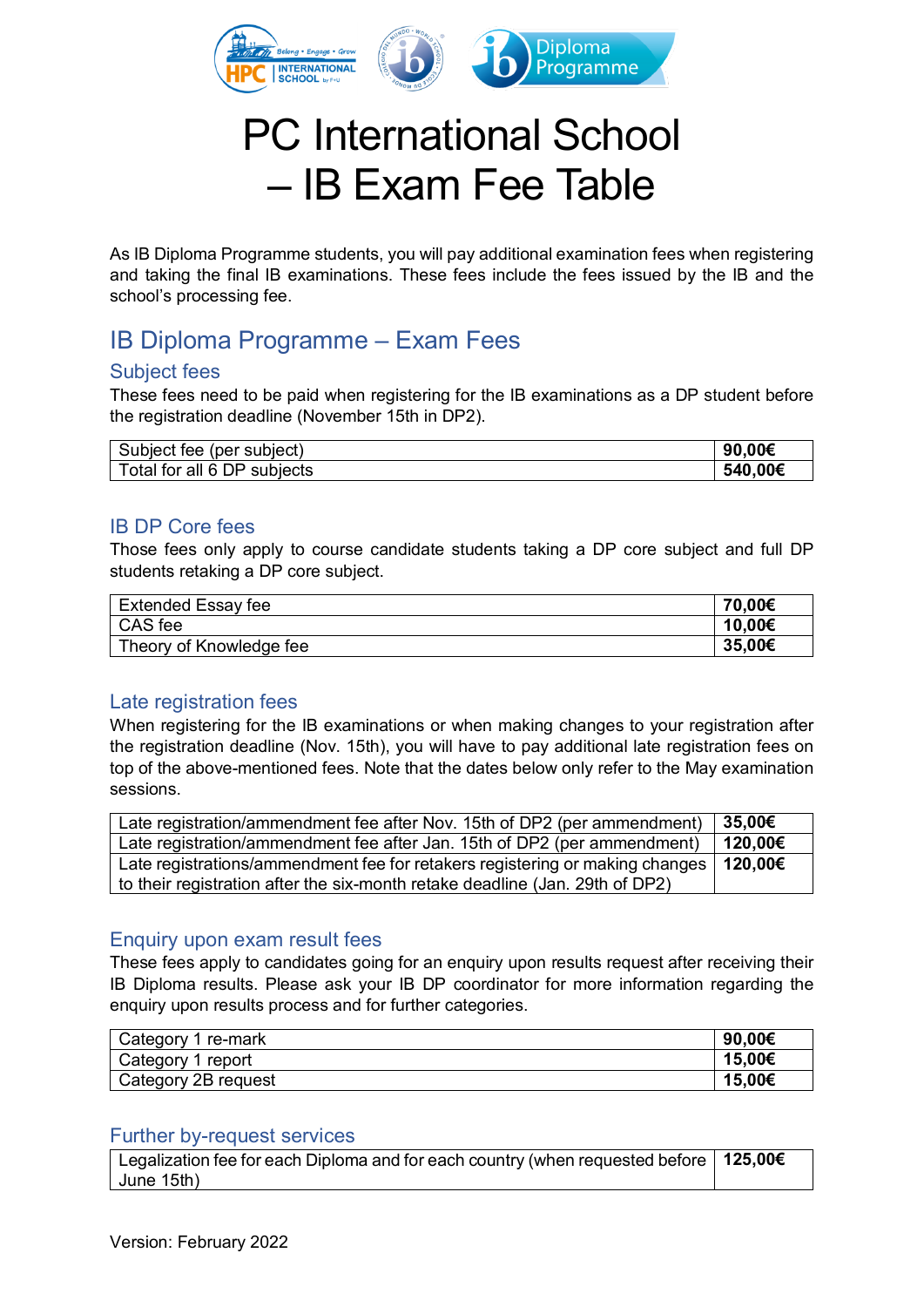

# PC International School – IB Exam Fee Table

As IB Diploma Programme students, you will pay additional examination fees when registering and taking the final IB examinations. These fees include the fees issued by the IB and the school's processing fee.

## IB Diploma Programme – Exam Fees

#### Subject fees

These fees need to be paid when registering for the IB examinations as a DP student before the registration deadline (November 15th in DP2).

| Subject fee (per subject)   | .00€<br>90 |
|-----------------------------|------------|
| Total for all 6 DP subjects | 540,00€    |

#### IB DP Core fees

Those fees only apply to course candidate students taking a DP core subject and full DP students retaking a DP core subject.

| Extended Essay fee      | 70,00€ |
|-------------------------|--------|
| CAS fee                 | 10,00€ |
| Theory of Knowledge fee | 35,00€ |

#### Late registration fees

When registering for the IB examinations or when making changes to your registration after the registration deadline (Nov. 15th), you will have to pay additional late registration fees on top of the above-mentioned fees. Note that the dates below only refer to the May examination sessions.

| Late registration/ammendment fee after Nov. 15th of DP2 (per ammendment)               | $35,00 \in$ |
|----------------------------------------------------------------------------------------|-------------|
| Late registration/ammendment fee after Jan. 15th of DP2 (per ammendment)               | 120.00€     |
| Late registrations/ammendment fee for retakers registering or making changes   120,00€ |             |
| to their registration after the six-month retake deadline (Jan. 29th of DP2)           |             |

#### Enquiry upon exam result fees

These fees apply to candidates going for an enguiry upon results request after receiving their IB Diploma results. Please ask your IB DP coordinator for more information regarding the enquiry upon results process and for further categories.

| Category 1 re-mark  | 90.00€ |
|---------------------|--------|
| Category 1 report   | 15.00€ |
| Category 2B request | 15,00€ |

#### Further by-request services

Legalization fee for each Diploma and for each country (when requested before June 15th) **125,00€**